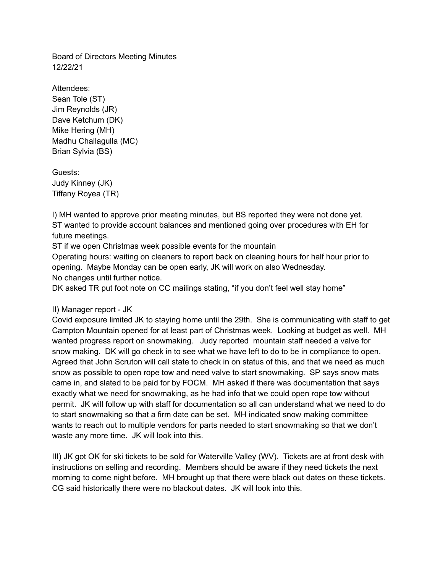Board of Directors Meeting Minutes 12/22/21

Attendees: Sean Tole (ST) Jim Reynolds (JR) Dave Ketchum (DK) Mike Hering (MH) Madhu Challagulla (MC) Brian Sylvia (BS)

Guests: Judy Kinney (JK) Tiffany Royea (TR)

I) MH wanted to approve prior meeting minutes, but BS reported they were not done yet. ST wanted to provide account balances and mentioned going over procedures with EH for future meetings.

ST if we open Christmas week possible events for the mountain

Operating hours: waiting on cleaners to report back on cleaning hours for half hour prior to opening. Maybe Monday can be open early, JK will work on also Wednesday. No changes until further notice.

DK asked TR put foot note on CC mailings stating, "if you don't feel well stay home"

## II) Manager report - JK

Covid exposure limited JK to staying home until the 29th. She is communicating with staff to get Campton Mountain opened for at least part of Christmas week. Looking at budget as well. MH wanted progress report on snowmaking. Judy reported mountain staff needed a valve for snow making. DK will go check in to see what we have left to do to be in compliance to open. Agreed that John Scruton will call state to check in on status of this, and that we need as much snow as possible to open rope tow and need valve to start snowmaking. SP says snow mats came in, and slated to be paid for by FOCM. MH asked if there was documentation that says exactly what we need for snowmaking, as he had info that we could open rope tow without permit. JK will follow up with staff for documentation so all can understand what we need to do to start snowmaking so that a firm date can be set. MH indicated snow making committee wants to reach out to multiple vendors for parts needed to start snowmaking so that we don't waste any more time. JK will look into this.

III) JK got OK for ski tickets to be sold for Waterville Valley (WV). Tickets are at front desk with instructions on selling and recording. Members should be aware if they need tickets the next morning to come night before. MH brought up that there were black out dates on these tickets. CG said historically there were no blackout dates. JK will look into this.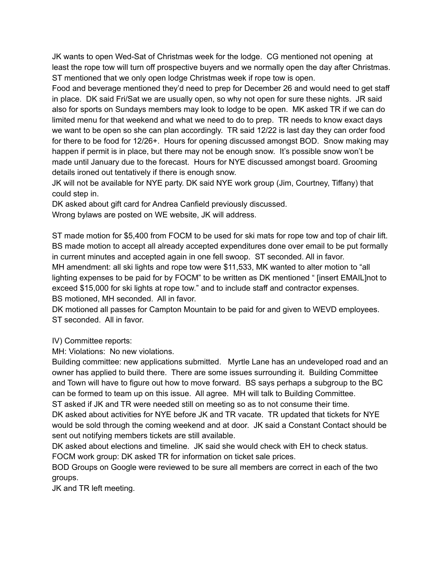JK wants to open Wed-Sat of Christmas week for the lodge. CG mentioned not opening at least the rope tow will turn off prospective buyers and we normally open the day after Christmas. ST mentioned that we only open lodge Christmas week if rope tow is open.

Food and beverage mentioned they'd need to prep for December 26 and would need to get staff in place. DK said Fri/Sat we are usually open, so why not open for sure these nights. JR said also for sports on Sundays members may look to lodge to be open. MK asked TR if we can do limited menu for that weekend and what we need to do to prep. TR needs to know exact days we want to be open so she can plan accordingly. TR said 12/22 is last day they can order food for there to be food for 12/26+. Hours for opening discussed amongst BOD. Snow making may happen if permit is in place, but there may not be enough snow. It's possible snow won't be made until January due to the forecast. Hours for NYE discussed amongst board. Grooming details ironed out tentatively if there is enough snow.

JK will not be available for NYE party. DK said NYE work group (Jim, Courtney, Tiffany) that could step in.

DK asked about gift card for Andrea Canfield previously discussed.

Wrong bylaws are posted on WE website, JK will address.

ST made motion for \$5,400 from FOCM to be used for ski mats for rope tow and top of chair lift. BS made motion to accept all already accepted expenditures done over email to be put formally in current minutes and accepted again in one fell swoop. ST seconded. All in favor. MH amendment: all ski lights and rope tow were \$11,533, MK wanted to alter motion to "all lighting expenses to be paid for by FOCM" to be written as DK mentioned " [insert EMAIL]not to exceed \$15,000 for ski lights at rope tow." and to include staff and contractor expenses. BS motioned, MH seconded. All in favor.

DK motioned all passes for Campton Mountain to be paid for and given to WEVD employees. ST seconded. All in favor.

IV) Committee reports:

MH: Violations: No new violations.

Building committee: new applications submitted. Myrtle Lane has an undeveloped road and an owner has applied to build there. There are some issues surrounding it. Building Committee and Town will have to figure out how to move forward. BS says perhaps a subgroup to the BC can be formed to team up on this issue. All agree. MH will talk to Building Committee. ST asked if JK and TR were needed still on meeting so as to not consume their time. DK asked about activities for NYE before JK and TR vacate. TR updated that tickets for NYE

would be sold through the coming weekend and at door. JK said a Constant Contact should be sent out notifying members tickets are still available.

DK asked about elections and timeline. JK said she would check with EH to check status. FOCM work group: DK asked TR for information on ticket sale prices.

BOD Groups on Google were reviewed to be sure all members are correct in each of the two groups.

JK and TR left meeting.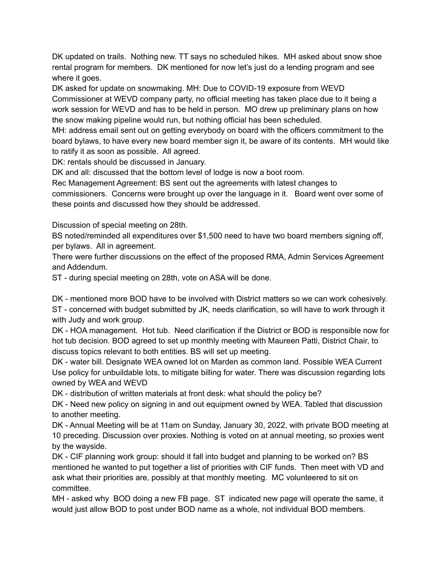DK updated on trails. Nothing new. TT says no scheduled hikes. MH asked about snow shoe rental program for members. DK mentioned for now let's just do a lending program and see where it goes.

DK asked for update on snowmaking. MH: Due to COVID-19 exposure from WEVD Commissioner at WEVD company party, no official meeting has taken place due to it being a work session for WEVD and has to be held in person. MO drew up preliminary plans on how the snow making pipeline would run, but nothing official has been scheduled.

MH: address email sent out on getting everybody on board with the officers commitment to the board bylaws, to have every new board member sign it, be aware of its contents. MH would like to ratify it as soon as possible. All agreed.

DK: rentals should be discussed in January.

DK and all: discussed that the bottom level of lodge is now a boot room.

Rec Management Agreement: BS sent out the agreements with latest changes to commissioners. Concerns were brought up over the language in it. Board went over some of

these points and discussed how they should be addressed.

Discussion of special meeting on 28th.

BS noted/reminded all expenditures over \$1,500 need to have two board members signing off, per bylaws. All in agreement.

There were further discussions on the effect of the proposed RMA, Admin Services Agreement and Addendum.

ST - during special meeting on 28th, vote on ASA will be done.

DK - mentioned more BOD have to be involved with District matters so we can work cohesively. ST - concerned with budget submitted by JK, needs clarification, so will have to work through it with Judy and work group.

DK - HOA management. Hot tub. Need clarification if the District or BOD is responsible now for hot tub decision. BOD agreed to set up monthly meeting with Maureen Patti, District Chair, to discuss topics relevant to both entities. BS will set up meeting.

DK - water bill. Designate WEA owned lot on Marden as common land. Possible WEA Current Use policy for unbuildable lots, to mitigate billing for water. There was discussion regarding lots owned by WEA and WEVD

DK - distribution of written materials at front desk: what should the policy be?

DK - Need new policy on signing in and out equipment owned by WEA. Tabled that discussion to another meeting.

DK - Annual Meeting will be at 11am on Sunday, January 30, 2022, with private BOD meeting at 10 preceding. Discussion over proxies. Nothing is voted on at annual meeting, so proxies went by the wayside.

DK - CIF planning work group: should it fall into budget and planning to be worked on? BS mentioned he wanted to put together a list of priorities with CIF funds. Then meet with VD and ask what their priorities are, possibly at that monthly meeting. MC volunteered to sit on committee.

MH - asked why BOD doing a new FB page. ST indicated new page will operate the same, it would just allow BOD to post under BOD name as a whole, not individual BOD members.